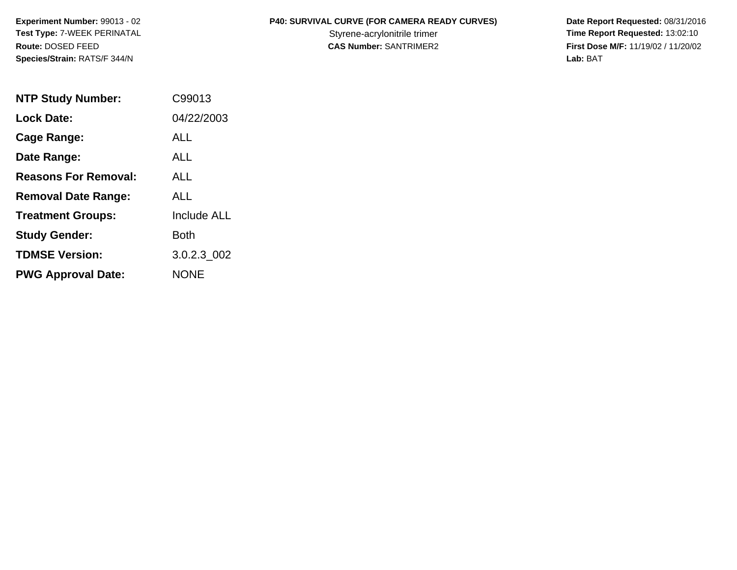**Species/Strain:** RATS/F 344/N **Lab:** BAT

## **Experiment Number:** 99013 - 02 **P40: SURVIVAL CURVE (FOR CAMERA READY CURVES) Date Report Requested:** 08/31/2016

Test Type: 7-WEEK PERINATAL **Styrene-acrylonitrile trimer** Styrene-acrylonitrile trimer **Time Report Requested:** 13:02:10 **Route:** DOSED FEED **CAS Number:** SANTRIMER2 **First Dose M/F:** 11/19/02 / 11/20/02

| <b>NTP Study Number:</b>    | C99013             |
|-----------------------------|--------------------|
| <b>Lock Date:</b>           | 04/22/2003         |
| Cage Range:                 | ALL                |
| Date Range:                 | <b>ALL</b>         |
| <b>Reasons For Removal:</b> | ALL                |
| <b>Removal Date Range:</b>  | ALL                |
| <b>Treatment Groups:</b>    | <b>Include ALL</b> |
| <b>Study Gender:</b>        | Both               |
| <b>TDMSE Version:</b>       | 3.0.2.3 002        |
| <b>PWG Approval Date:</b>   | <b>NONE</b>        |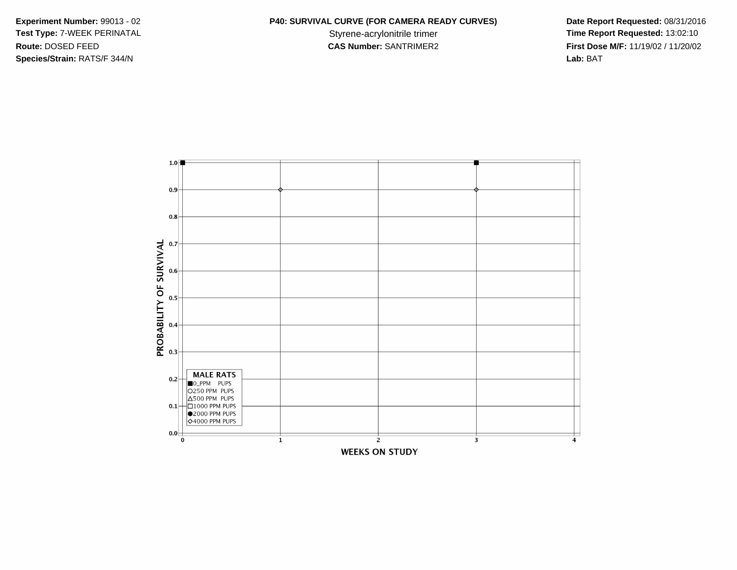**Species/Strain:** RATS/F 344/N **Lab:** BAT

## **Experiment Number:** 99013 - 02 **P40: SURVIVAL CURVE (FOR CAMERA READY CURVES) Date Report Requested:** 08/31/2016

Test Type: 7-WEEK PERINATAL **Styrene-acrylonitrile trimer** Styrene-acrylonitrile trimer **Time Report Requested:** 13:02:10 **Route:** DOSED FEED **CAS Number:** SANTRIMER2 **First Dose M/F:** 11/19/02 / 11/20/02